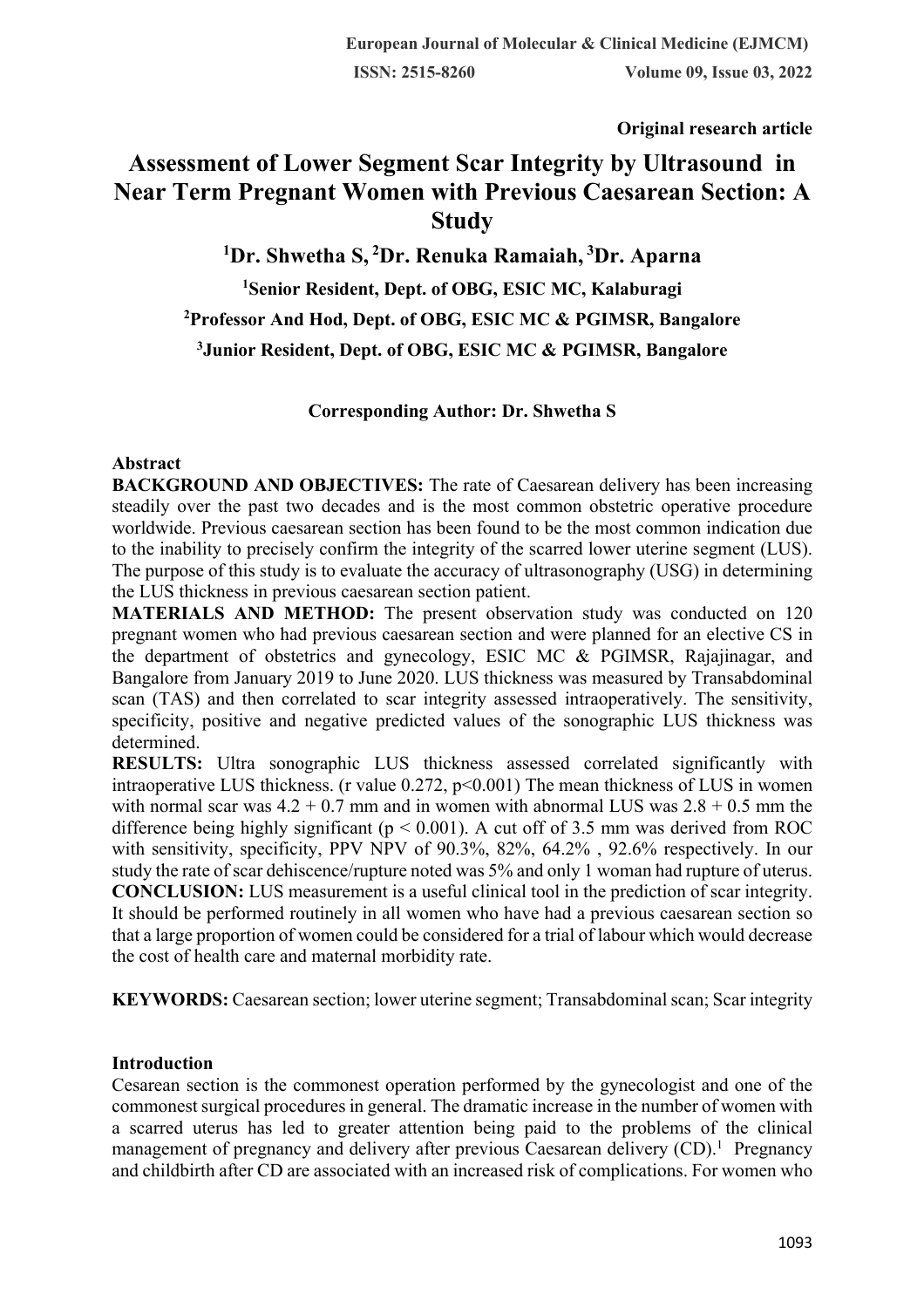**Original research article** 

# **Assessment of Lower Segment Scar Integrity by Ultrasound in Near Term Pregnant Women with Previous Caesarean Section: A Study**

 **Dr. Shwetha S, <sup>2</sup> Dr. Renuka Ramaiah, <sup>3</sup> Dr. Aparna Senior Resident, Dept. of OBG, ESIC MC, Kalaburagi Professor And Hod, Dept. of OBG, ESIC MC & PGIMSR, Bangalore Junior Resident, Dept. of OBG, ESIC MC & PGIMSR, Bangalore**

#### **Corresponding Author: Dr. Shwetha S**

#### **Abstract**

**BACKGROUND AND OBJECTIVES:** The rate of Caesarean delivery has been increasing steadily over the past two decades and is the most common obstetric operative procedure worldwide. Previous caesarean section has been found to be the most common indication due to the inability to precisely confirm the integrity of the scarred lower uterine segment (LUS). The purpose of this study is to evaluate the accuracy of ultrasonography (USG) in determining the LUS thickness in previous caesarean section patient.

**MATERIALS AND METHOD:** The present observation study was conducted on 120 pregnant women who had previous caesarean section and were planned for an elective CS in the department of obstetrics and gynecology, ESIC MC & PGIMSR, Rajajinagar, and Bangalore from January 2019 to June 2020. LUS thickness was measured by Transabdominal scan (TAS) and then correlated to scar integrity assessed intraoperatively. The sensitivity, specificity, positive and negative predicted values of the sonographic LUS thickness was determined.

**RESULTS:** Ultra sonographic LUS thickness assessed correlated significantly with intraoperative LUS thickness. (r value  $0.272$ ,  $p<0.001$ ) The mean thickness of LUS in women with normal scar was  $4.2 + 0.7$  mm and in women with abnormal LUS was  $2.8 + 0.5$  mm the difference being highly significant ( $p < 0.001$ ). A cut off of 3.5 mm was derived from ROC with sensitivity, specificity, PPV NPV of 90.3%, 82%, 64.2% , 92.6% respectively. In our study the rate of scar dehiscence/rupture noted was 5% and only 1 woman had rupture of uterus. **CONCLUSION:** LUS measurement is a useful clinical tool in the prediction of scar integrity. It should be performed routinely in all women who have had a previous caesarean section so that a large proportion of women could be considered for a trial of labour which would decrease the cost of health care and maternal morbidity rate.

**KEYWORDS:** Caesarean section; lower uterine segment; Transabdominal scan; Scar integrity

# **Introduction**

Cesarean section is the commonest operation performed by the gynecologist and one of the commonest surgical procedures in general. The dramatic increase in the number of women with a scarred uterus has led to greater attention being paid to the problems of the clinical management of pregnancy and delivery after previous Caesarean delivery  $(CD)$ .<sup>1</sup> Pregnancy and childbirth after CD are associated with an increased risk of complications. For women who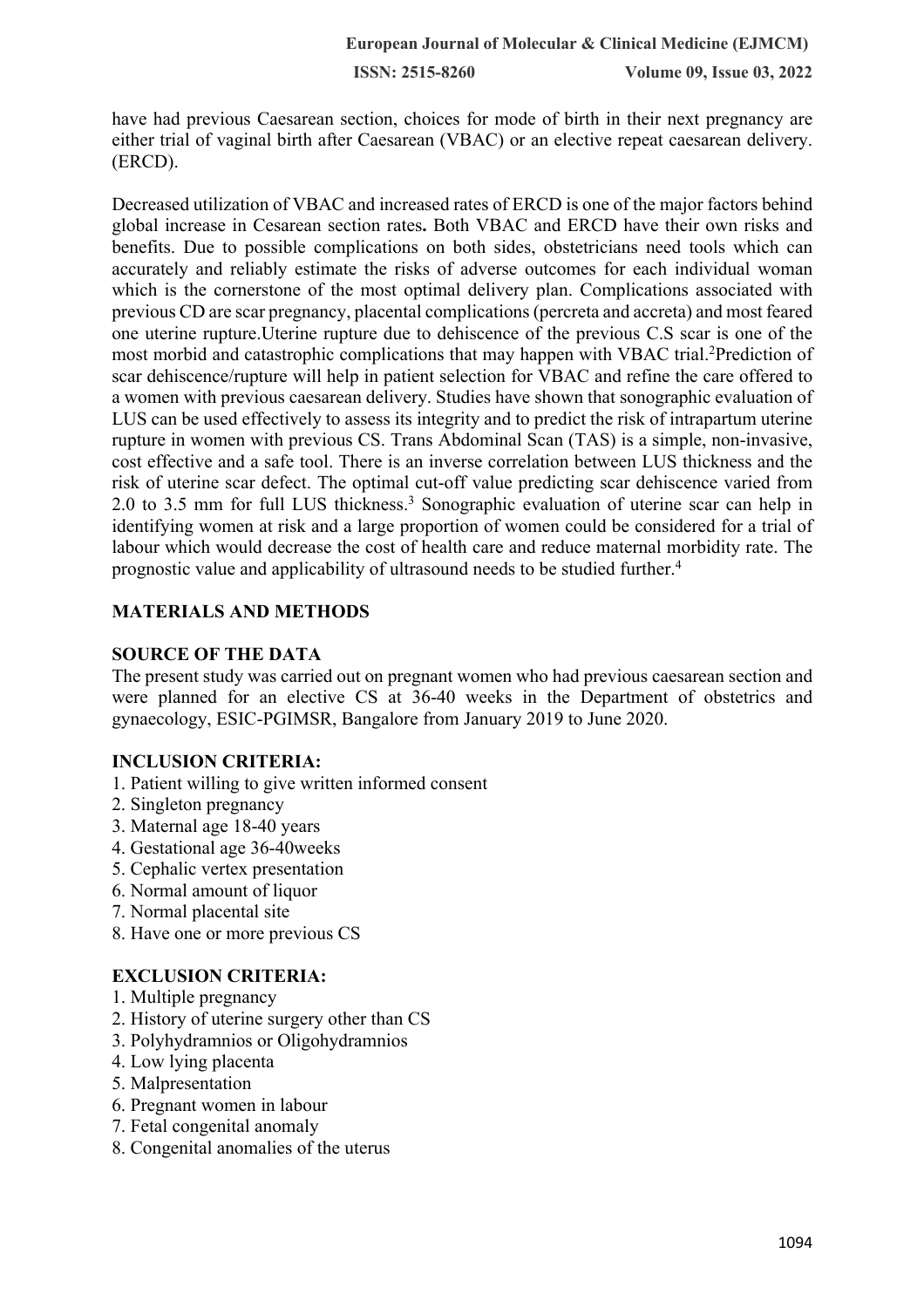have had previous Caesarean section, choices for mode of birth in their next pregnancy are either trial of vaginal birth after Caesarean (VBAC) or an elective repeat caesarean delivery. (ERCD).

Decreased utilization of VBAC and increased rates of ERCD is one of the major factors behind global increase in Cesarean section rates**.** Both VBAC and ERCD have their own risks and benefits. Due to possible complications on both sides, obstetricians need tools which can accurately and reliably estimate the risks of adverse outcomes for each individual woman which is the cornerstone of the most optimal delivery plan. Complications associated with previous CD are scar pregnancy, placental complications (percreta and accreta) and most feared one uterine rupture.Uterine rupture due to dehiscence of the previous C.S scar is one of the most morbid and catastrophic complications that may happen with VBAC trial.<sup>2</sup>Prediction of scar dehiscence/rupture will help in patient selection for VBAC and refine the care offered to a women with previous caesarean delivery. Studies have shown that sonographic evaluation of LUS can be used effectively to assess its integrity and to predict the risk of intrapartum uterine rupture in women with previous CS. Trans Abdominal Scan (TAS) is a simple, non-invasive, cost effective and a safe tool. There is an inverse correlation between LUS thickness and the risk of uterine scar defect. The optimal cut-off value predicting scar dehiscence varied from 2.0 to 3.5 mm for full LUS thickness.3 Sonographic evaluation of uterine scar can help in identifying women at risk and a large proportion of women could be considered for a trial of labour which would decrease the cost of health care and reduce maternal morbidity rate. The prognostic value and applicability of ultrasound needs to be studied further.4

# **MATERIALS AND METHODS**

## **SOURCE OF THE DATA**

The present study was carried out on pregnant women who had previous caesarean section and were planned for an elective CS at 36-40 weeks in the Department of obstetrics and gynaecology, ESIC-PGIMSR, Bangalore from January 2019 to June 2020.

# **INCLUSION CRITERIA:**

- 1. Patient willing to give written informed consent
- 2. Singleton pregnancy
- 3. Maternal age 18-40 years
- 4. Gestational age 36-40weeks
- 5. Cephalic vertex presentation
- 6. Normal amount of liquor
- 7. Normal placental site
- 8. Have one or more previous CS

# **EXCLUSION CRITERIA:**

- 1. Multiple pregnancy
- 2. History of uterine surgery other than CS
- 3. Polyhydramnios or Oligohydramnios
- 4. Low lying placenta
- 5. Malpresentation
- 6. Pregnant women in labour
- 7. Fetal congenital anomaly
- 8. Congenital anomalies of the uterus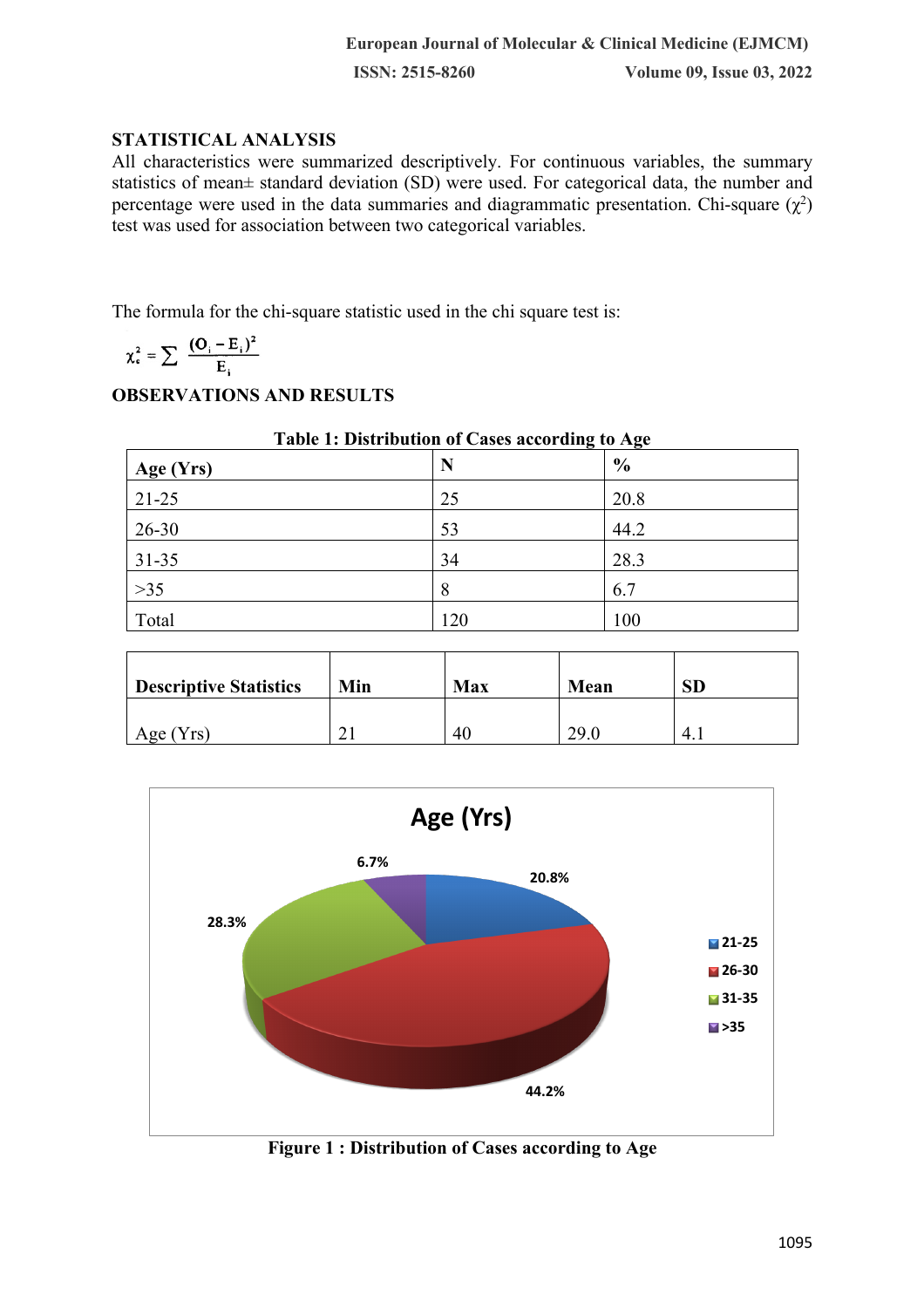# **STATISTICAL ANALYSIS**

All characteristics were summarized descriptively. For continuous variables, the summary statistics of mean± standard deviation (SD) were used. For categorical data, the number and percentage were used in the data summaries and diagrammatic presentation. Chi-square  $(\chi^2)$ test was used for association between two categorical variables.

The formula for the chi-square statistic used in the chi square test is:

$$
\chi_{c}^{2} = \sum \frac{(\mathbf{O}_{i} - \mathbf{E}_{i})^{2}}{\mathbf{E}_{i}}
$$

# **OBSERVATIONS AND RESULTS**

| Table 1: Distribution of Cases according to Age |     |               |  |
|-------------------------------------------------|-----|---------------|--|
| Age (Yrs)                                       | N   | $\frac{6}{6}$ |  |
| $21 - 25$                                       | 25  | 20.8          |  |
| $26 - 30$                                       | 53  | 44.2          |  |
| $31 - 35$                                       | 34  | 28.3          |  |
| $>35$                                           | 8   | 6.7           |  |
| Total                                           | 120 | 100           |  |

| <b>Descriptive Statistics</b> | Min | <b>Max</b> | Mean | <b>SD</b> |
|-------------------------------|-----|------------|------|-----------|
| Age $(Yrs)$                   | n.  | 40         | 29.0 | 4.1       |



**Figure 1 : Distribution of Cases according to Age**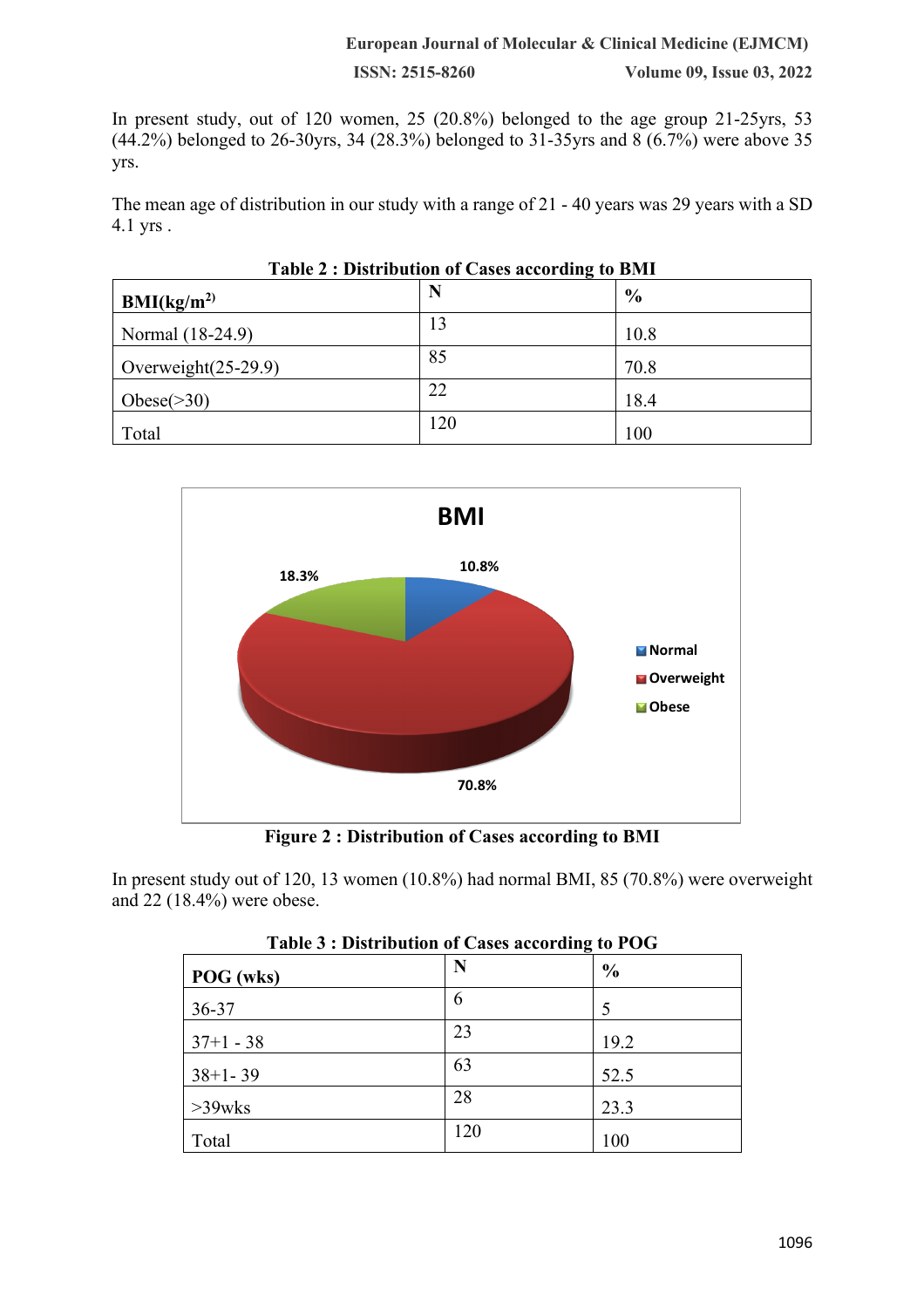#### **European Journal of Molecular & Clinical Medicine (EJMCM)**

**ISSN: 2515-8260 Volume 09, Issue 03, 2022**

In present study, out of 120 women, 25 (20.8%) belonged to the age group 21-25yrs, 53 (44.2%) belonged to 26-30yrs, 34 (28.3%) belonged to 31-35yrs and 8 (6.7%) were above 35 yrs.

The mean age of distribution in our study with a range of 21 - 40 years was 29 years with a SD 4.1 yrs .

| $1$ avit $2$ . Distribution of Cases according to Divil |     |               |
|---------------------------------------------------------|-----|---------------|
| BMI(kg/m <sup>2</sup> )                                 | N   | $\frac{6}{6}$ |
| Normal (18-24.9)                                        | 13  | 10.8          |
| Overweight $(25-29.9)$                                  | 85  | 70.8          |
| Obese $(>30)$                                           | 22  | 18.4          |
| Total                                                   | 120 | 100           |

| Table 2 : Distribution of Cases according to BMI |  |  |
|--------------------------------------------------|--|--|
|                                                  |  |  |



**Figure 2 : Distribution of Cases according to BMI**

In present study out of 120, 13 women (10.8%) had normal BMI, 85 (70.8%) were overweight and 22 (18.4%) were obese.

|             | Table of Distribution of Cases according to 1 OG |               |
|-------------|--------------------------------------------------|---------------|
| POG (wks)   | N                                                | $\frac{6}{6}$ |
| 36-37       | 6                                                |               |
| $37+1 - 38$ | 23                                               | 19.2          |
| $38+1-39$   | 63                                               | 52.5          |
| $>39$ wks   | 28                                               | 23.3          |
| Total       | 120                                              | 100           |

| Table 3 : Distribution of Cases according to POG |  |  |
|--------------------------------------------------|--|--|
|                                                  |  |  |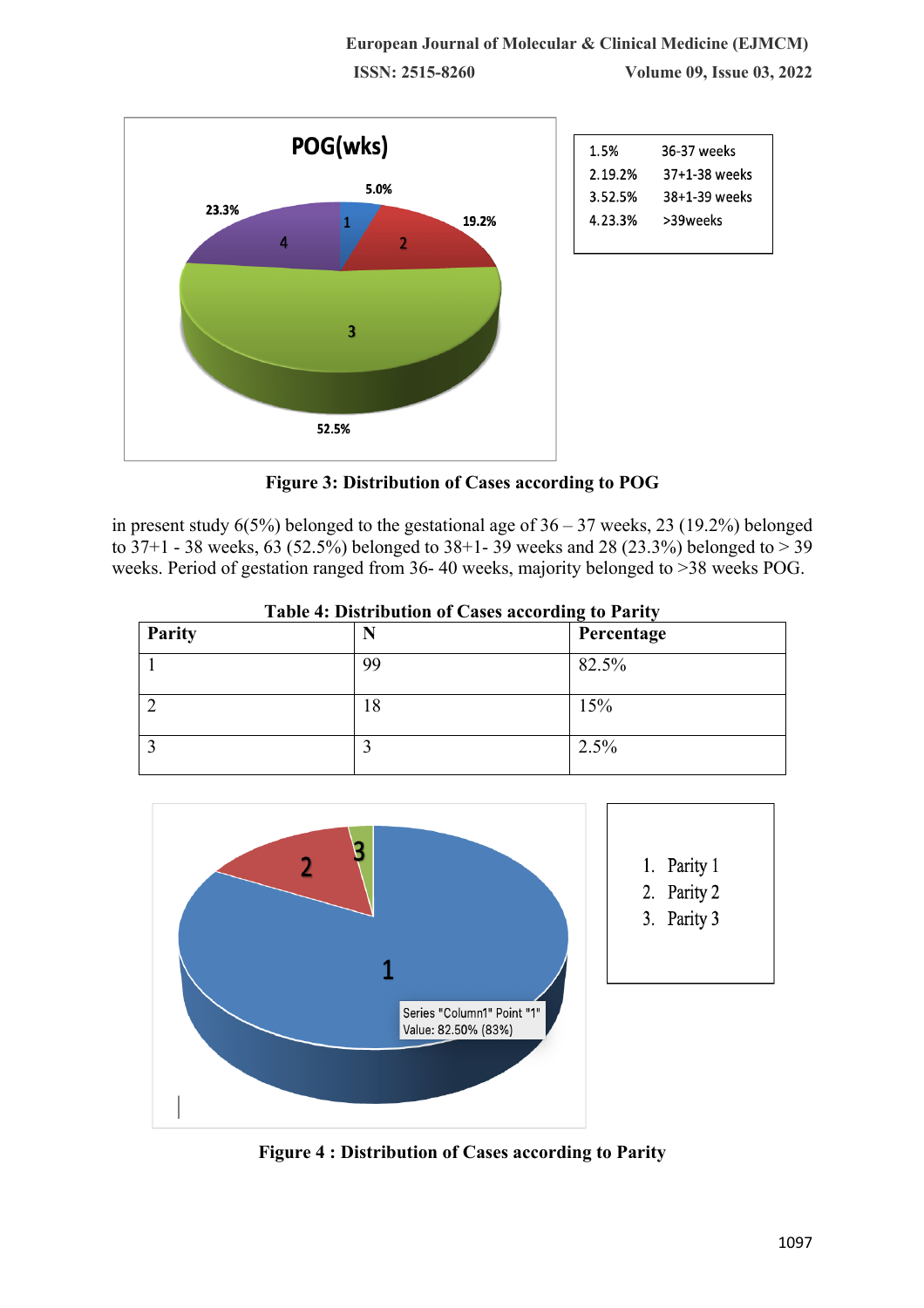

**Figure 3: Distribution of Cases according to POG**

in present study  $6(5\%)$  belonged to the gestational age of  $36 - 37$  weeks, 23 (19.2%) belonged to 37+1 - 38 weeks, 63 (52.5%) belonged to 38+1- 39 weeks and 28 (23.3%) belonged to > 39 weeks. Period of gestation ranged from 36- 40 weeks, majority belonged to >38 weeks POG.

| Parity | Twist is Distribution of Cases according to Furly<br>N | Percentage |
|--------|--------------------------------------------------------|------------|
|        | 99                                                     | 82.5%      |
|        | 18                                                     | 15%        |
|        |                                                        | 2.5%       |

**Table 4: Distribution of Cases according to Parity**



**Figure 4 : Distribution of Cases according to Parity**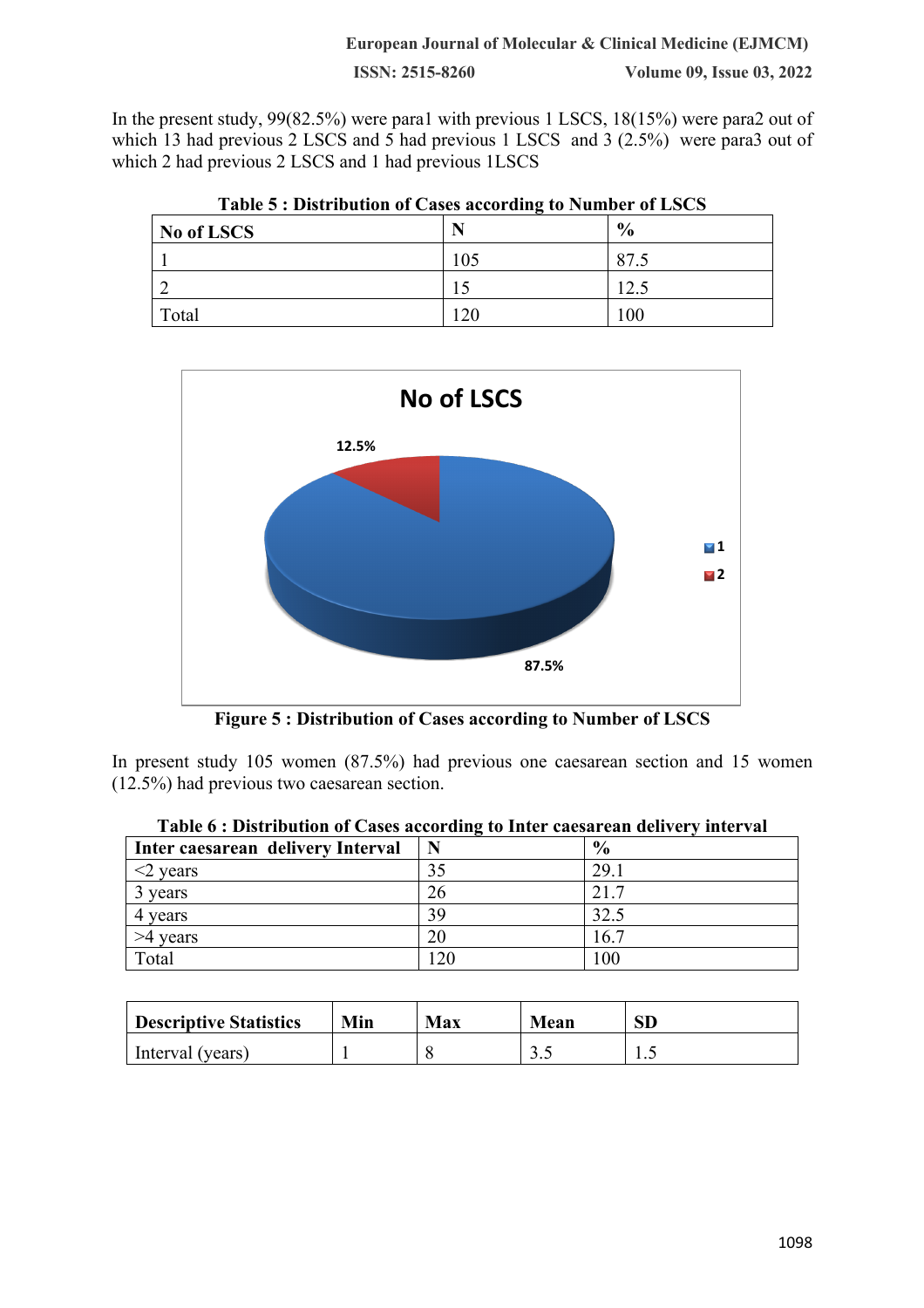In the present study, 99(82.5%) were para1 with previous 1 LSCS, 18(15%) were para2 out of which 13 had previous 2 LSCS and 5 had previous 1 LSCS and 3 (2.5%) were para3 out of which 2 had previous 2 LSCS and 1 had previous 1LSCS

| Table 5: Distribution of Cases according to Number of LSCS |     |               |
|------------------------------------------------------------|-----|---------------|
| No of LSCS                                                 |     | $\frac{6}{9}$ |
|                                                            | 105 | 87.5          |
|                                                            |     | 12.5          |
| Total                                                      | 120 | 100           |

**Table 5 : Distribution of Cases according to Number of LSCS**



**Figure 5 : Distribution of Cases according to Number of LSCS**

In present study 105 women (87.5%) had previous one caesarean section and 15 women (12.5%) had previous two caesarean section.

| Inter caesarean delivery Interval | N               | $\frac{6}{6}$ |
|-----------------------------------|-----------------|---------------|
| $\leq$ years                      | 35              | 29.1          |
| years                             | 26              | 21.7          |
| 4 years                           | 39              | 32.5          |
| >4 years                          | 20              | 16.7          |
| Total                             | $\overline{20}$ | 100           |

| <b>Descriptive Statistics</b> | Min | Max | Mean  | ${\rm SD}$ |
|-------------------------------|-----|-----|-------|------------|
| Interval (years)              |     |     | ن و ب | ن .        |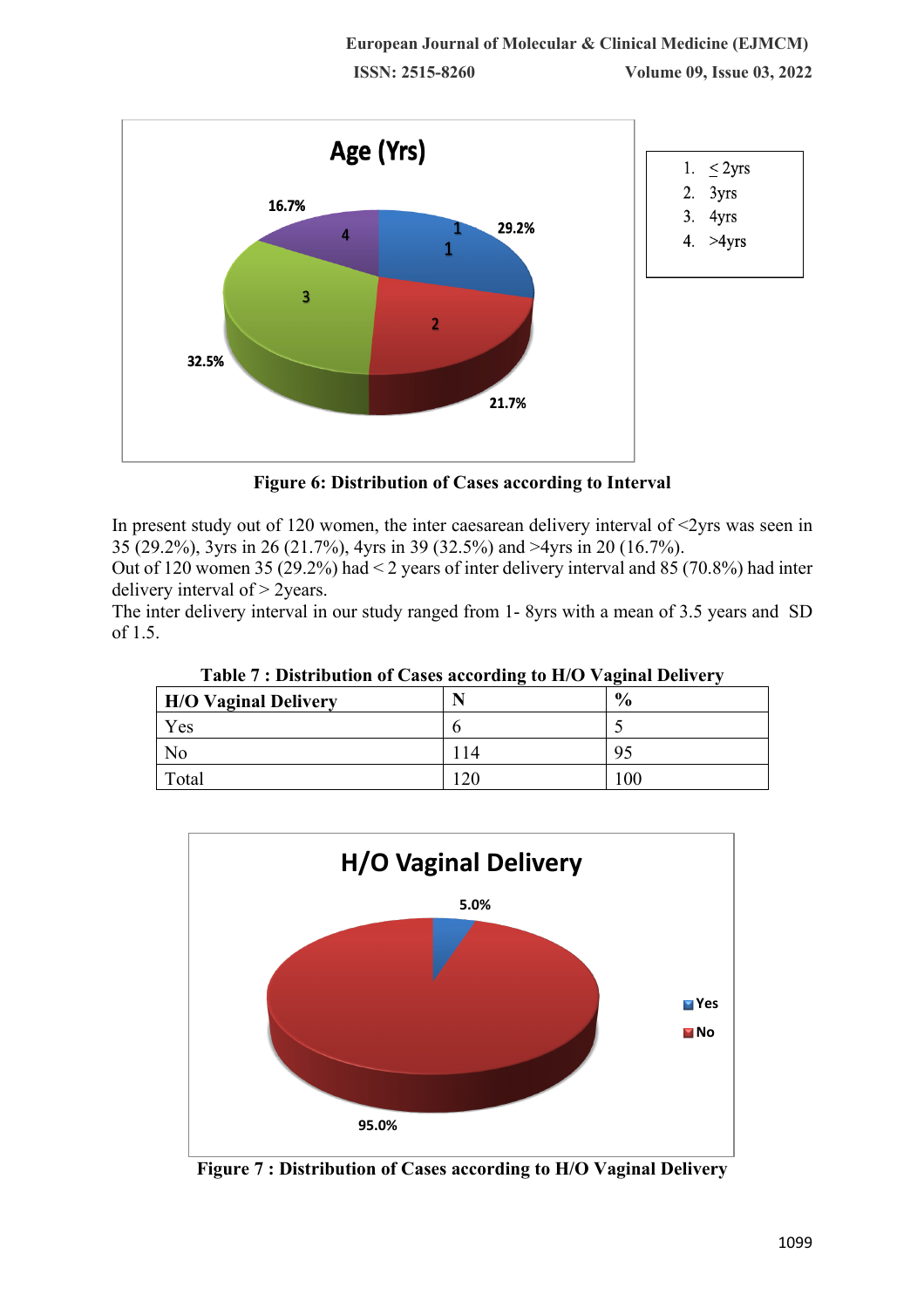

**Figure 6: Distribution of Cases according to Interval**

In present study out of 120 women, the inter caesarean delivery interval of  $\langle 2 \rangle$ rs was seen in 35 (29.2%), 3yrs in 26 (21.7%), 4yrs in 39 (32.5%) and >4yrs in 20 (16.7%).

Out of 120 women 35 (29.2%) had < 2 years of inter delivery interval and 85 (70.8%) had inter delivery interval of > 2years.

The inter delivery interval in our study ranged from 1- 8yrs with a mean of 3.5 years and SD of 1.5.

| Table <i>T</i> • Distribution of Cases according to H/O Tagmar Denvery |    |               |  |
|------------------------------------------------------------------------|----|---------------|--|
| <b>H/O Vaginal Delivery</b>                                            |    | $\frac{6}{9}$ |  |
| Yes                                                                    |    |               |  |
| No                                                                     | 14 | 95            |  |
| Total                                                                  | 2( | 00            |  |

**Table 7 : Distribution of Cases according to H/O Vaginal Delivery**



**Figure 7 : Distribution of Cases according to H/O Vaginal Delivery**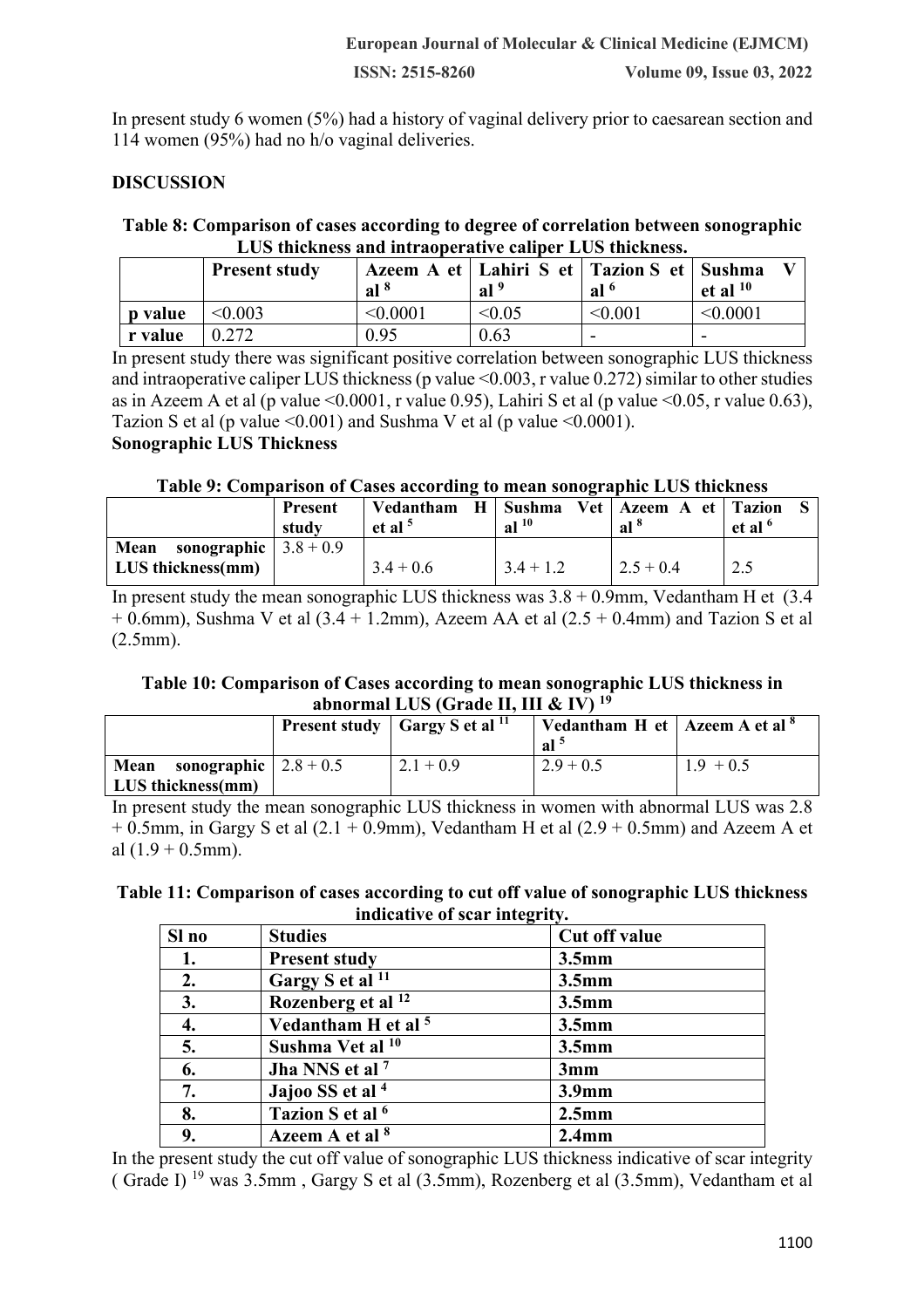In present study 6 women (5%) had a history of vaginal delivery prior to caesarean section and 114 women (95%) had no h/o vaginal deliveries.

# **DISCUSSION**

# **Table 8: Comparison of cases according to degree of correlation between sonographic LUS thickness and intraoperative caliper LUS thickness.**

|                | <b>Present study</b> | al <sup>8</sup> | Azeem A et   Lahiri S et   Tazion S et   Sushma<br>$ $ al <sup>9</sup> | al <sup>6</sup> | et al $10$ |
|----------------|----------------------|-----------------|------------------------------------------------------------------------|-----------------|------------|
| <b>p</b> value | $\leq 0.003$         | < 0.0001        | < 0.05                                                                 | < 0.001         | < 0.0001   |
| r value        | 0.272                | 0.95            | 0.63                                                                   | ۰               | -          |

In present study there was significant positive correlation between sonographic LUS thickness and intraoperative caliper LUS thickness (p value <0.003, r value 0.272) similar to other studies as in Azeem A et al (p value  $\leq 0.0001$ , r value 0.95), Lahiri S et al (p value  $\leq 0.05$ , r value 0.63). Tazion S et al (p value  $\leq 0.001$ ) and Sushma V et al (p value  $\leq 0.0001$ ).

# **Sonographic LUS Thickness**

#### **Table 9: Comparison of Cases according to mean sonographic LUS thickness**

|                                                          | <b>Present</b><br>study | Vedantham<br>H<br>et al $5$ | Sushma<br>al <sup>10</sup> | Vet   Azeem A et   Tazion<br>al <sup>8</sup> | et al $6$ |
|----------------------------------------------------------|-------------------------|-----------------------------|----------------------------|----------------------------------------------|-----------|
| <b>Mean</b> sonographic $3.8 + 0.9$<br>LUS thickness(mm) |                         | $3.4 + 0.6$                 | $3.4 + 1.2$                | $2.5 + 0.4$                                  | 2.5       |

In present study the mean sonographic LUS thickness was  $3.8 + 0.9$ mm, Vedantham H et (3.4)  $+ 0.6$ mm), Sushma V et al  $(3.4 + 1.2$ mm), Azeem AA et al  $(2.5 + 0.4$ mm) and Tazion S et al (2.5mm).

#### **Table 10: Comparison of Cases according to mean sonographic LUS thickness in abnormal LUS (Grade II, III & IV) 19**

|                                                                  | <b>Present study</b> $\int$ Gargy S et al $^{11}$ | Vedantham H et   Azeem A et al $^8$<br>al <sup>-</sup> |             |
|------------------------------------------------------------------|---------------------------------------------------|--------------------------------------------------------|-------------|
| sonographic $\vert 2.8 + 0.5 \vert$<br>Mean<br>LUS thickness(mm) | $2.1 + 0.9$                                       | $2.9 + 0.5$                                            | $1.9 + 0.5$ |

In present study the mean sonographic LUS thickness in women with abnormal LUS was 2.8  $+ 0.5$ mm, in Gargy S et al  $(2.1 + 0.9$ mm), Vedantham H et al  $(2.9 + 0.5$ mm) and Azeem A et al  $(1.9 + 0.5$ mm).

#### **Table 11: Comparison of cases according to cut off value of sonographic LUS thickness indicative of scar integrity.**

| Sl no | <b>Studies</b>                 | Cut off value     |
|-------|--------------------------------|-------------------|
| 1.    | <b>Present study</b>           | $3.5$ mm          |
| 2.    | Gargy S et al <sup>11</sup>    | 3.5 <sub>mm</sub> |
| 3.    | Rozenberg et al <sup>12</sup>  | 3.5 <sub>mm</sub> |
| 4.    | Vedantham H et al <sup>5</sup> | 3.5 <sub>mm</sub> |
| 5.    | Sushma Vet al <sup>10</sup>    | $3.5$ mm          |
| 6.    | Jha NNS et al <sup>7</sup>     | 3mm               |
| 7.    | Jajoo SS et al <sup>4</sup>    | 3.9 <sub>mm</sub> |
| 8.    | Tazion S et al <sup>6</sup>    | $2.5$ mm          |
| 9.    | Azeem A et al <sup>8</sup>     | $2.4$ mm          |

In the present study the cut off value of sonographic LUS thickness indicative of scar integrity ( Grade I) 19 was 3.5mm , Gargy S et al (3.5mm), Rozenberg et al (3.5mm), Vedantham et al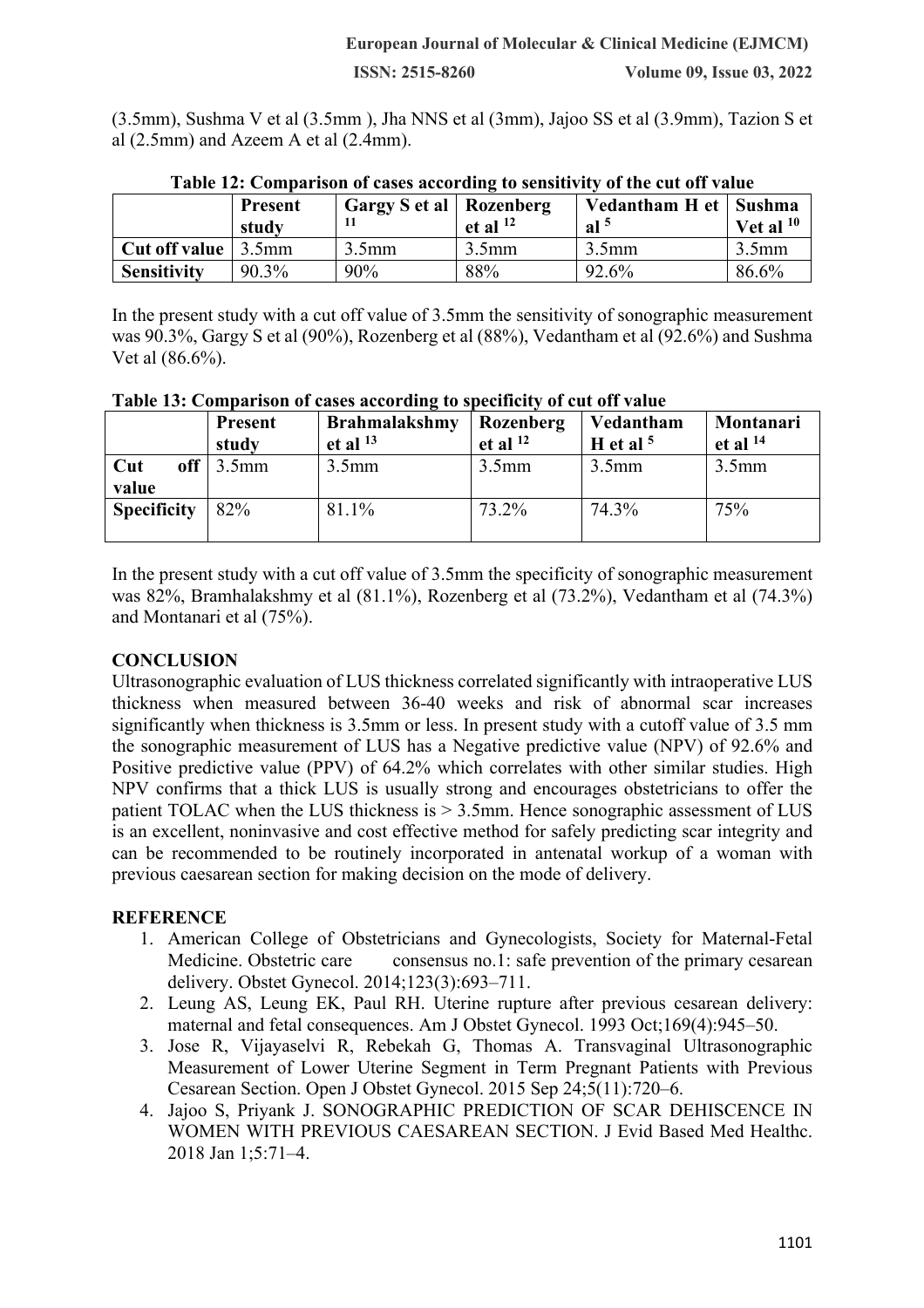(3.5mm), Sushma V et al (3.5mm ), Jha NNS et al (3mm), Jajoo SS et al (3.9mm), Tazion S et al (2.5mm) and Azeem A et al (2.4mm).

|                    | <b>Present</b><br>study | <b>Gargy S et al   Rozenberg</b><br>п | et al $^{12}$ | Vedantham H et   Sushma<br>al <sup>5</sup> | Vet al $10$       |
|--------------------|-------------------------|---------------------------------------|---------------|--------------------------------------------|-------------------|
| Cut off value      | $3.5$ mm                | 3.5 <sub>mm</sub>                     | 3.5mm         | 3.5 <sub>mm</sub>                          | 3.5 <sub>mm</sub> |
| <b>Sensitivity</b> | 90.3%                   | 90%                                   | 88%           | 92.6%                                      | 86.6%             |

| Table 12: Comparison of cases according to sensitivity of the cut off value |  |  |  |
|-----------------------------------------------------------------------------|--|--|--|
|                                                                             |  |  |  |

In the present study with a cut off value of 3.5mm the sensitivity of sonographic measurement was 90.3%, Gargy S et al (90%), Rozenberg et al (88%), Vedantham et al (92.6%) and Sushma Vet al (86.6%).

|                     | <b>Present</b><br>study | <b>Brahmalakshmy</b><br>et al $^{13}$ | Rozenberg<br>et al $^{12}$ | Vedantham<br>H et al $5$ | Montanari<br>et al $^{14}$ |
|---------------------|-------------------------|---------------------------------------|----------------------------|--------------------------|----------------------------|
| off<br>Cut<br>value | $\frac{3.5}{mm}$        | 3.5 <sub>mm</sub>                     | $3.5$ mm                   | 3.5mm                    | 3.5mm                      |
| <b>Specificity</b>  | 82%                     | 81.1%                                 | 73.2%                      | 74.3%                    | 75%                        |

**Table 13: Comparison of cases according to specificity of cut off value**

In the present study with a cut off value of 3.5mm the specificity of sonographic measurement was 82%, Bramhalakshmy et al (81.1%), Rozenberg et al (73.2%), Vedantham et al (74.3%) and Montanari et al (75%).

# **CONCLUSION**

Ultrasonographic evaluation of LUS thickness correlated significantly with intraoperative LUS thickness when measured between 36-40 weeks and risk of abnormal scar increases significantly when thickness is 3.5mm or less. In present study with a cutoff value of 3.5 mm the sonographic measurement of LUS has a Negative predictive value (NPV) of 92.6% and Positive predictive value (PPV) of 64.2% which correlates with other similar studies. High NPV confirms that a thick LUS is usually strong and encourages obstetricians to offer the patient TOLAC when the LUS thickness is > 3.5mm. Hence sonographic assessment of LUS is an excellent, noninvasive and cost effective method for safely predicting scar integrity and can be recommended to be routinely incorporated in antenatal workup of a woman with previous caesarean section for making decision on the mode of delivery.

# **REFERENCE**

- 1. American College of Obstetricians and Gynecologists, Society for Maternal-Fetal Medicine. Obstetric care consensus no.1: safe prevention of the primary cesarean delivery. Obstet Gynecol. 2014;123(3):693–711.
- 2. Leung AS, Leung EK, Paul RH. Uterine rupture after previous cesarean delivery: maternal and fetal consequences. Am J Obstet Gynecol. 1993 Oct;169(4):945–50.
- 3. Jose R, Vijayaselvi R, Rebekah G, Thomas A. Transvaginal Ultrasonographic Measurement of Lower Uterine Segment in Term Pregnant Patients with Previous Cesarean Section. Open J Obstet Gynecol. 2015 Sep 24;5(11):720–6.
- 4. Jajoo S, Priyank J. SONOGRAPHIC PREDICTION OF SCAR DEHISCENCE IN WOMEN WITH PREVIOUS CAESAREAN SECTION. J Evid Based Med Healthc. 2018 Jan 1;5:71–4.